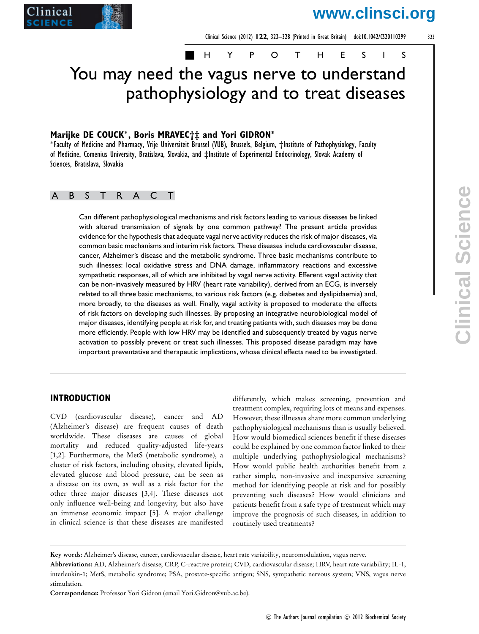HYPOTHESIS

# You may need the vagus nerve to understand pathophysiology and to treat diseases

# **Marijke DE COUCK∗, Boris MRAVEC†‡ and Yori GIDRON<sup>∗</sup>**

<sup>∗</sup>Faculty of Medicine and Pharmacy, Vrije Universiteit Brussel (VUB), Brussels, Belgium, †Institute of Pathophysiology, Faculty of Medicine, Comenius University, Bratislava, Slovakia, and ‡Institute of Experimental Endocrinology, Slovak Academy of Sciences, Bratislava, Slovakia

# ABSTRACT

Can different pathophysiological mechanisms and risk factors leading to various diseases be linked with altered transmission of signals by one common pathway? The present article provides evidence for the hypothesis that adequate vagal nerve activity reduces the risk of major diseases, via common basic mechanisms and interim risk factors. These diseases include cardiovascular disease, cancer, Alzheimer's disease and the metabolic syndrome. Three basic mechanisms contribute to such illnesses: local oxidative stress and DNA damage, inflammatory reactions and excessive sympathetic responses, all of which are inhibited by vagal nerve activity. Efferent vagal activity that can be non-invasively measured by HRV (heart rate variability), derived from an ECG, is inversely related to all three basic mechanisms, to various risk factors (e.g. diabetes and dyslipidaemia) and, more broadly, to the diseases as well. Finally, vagal activity is proposed to moderate the effects of risk factors on developing such illnesses. By proposing an integrative neurobiological model of major diseases, identifying people at risk for, and treating patients with, such diseases may be done more efficiently. People with low HRV may be identified and subsequently treated by vagus nerve activation to possibly prevent or treat such illnesses. This proposed disease paradigm may have important preventative and therapeutic implications, whose clinical effects need to be investigated.

#### **INTRODUCTION**

CVD (cardiovascular disease), cancer and AD (Alzheimer's disease) are frequent causes of death worldwide. These diseases are causes of global mortality and reduced quality-adjusted life-years [\[1,](#page-4-0)2]. Furthermore, the MetS (metabolic syndrome), a cluster of risk factors, including obesity, elevated lipids, elevated glucose and blood pressure, can be seen as a disease on its own, as well as a risk factor for the other three major diseases [\[3](#page-4-1)[,4\]](#page-4-2). These diseases not only influence well-being and longevity, but also have an immense economic impact [\[5\]](#page-4-3). A major challenge in clinical science is that these diseases are manifested differently, which makes screening, prevention and treatment complex, requiring lots of means and expenses. However, these illnesses share more common underlying pathophysiological mechanisms than is usually believed. How would biomedical sciences benefit if these diseases could be explained by one common factor linked to their multiple underlying pathophysiological mechanisms? How would public health authorities benefit from a rather simple, non-invasive and inexpensive screening method for identifying people at risk and for possibly preventing such diseases? How would clinicians and patients benefit from a safe type of treatment which may improve the prognosis of such diseases, in addition to routinely used treatments?

**Key words:** Alzheimer's disease, cancer, cardiovascular disease, heart rate variability, neuromodulation, vagus nerve.

**Abbreviations:** AD, Alzheimer's disease; CRP, C-reactive protein; CVD, cardiovascular disease; HRV, heart rate variability; IL-1, interleukin-1; MetS, metabolic syndrome; PSA, prostate-specific antigen; SNS, sympathetic nervous system; VNS, vagus nerve stimulation.

**Correspondence:** Professor Yori Gidron (email Yori.Gidron@vub.ac.be).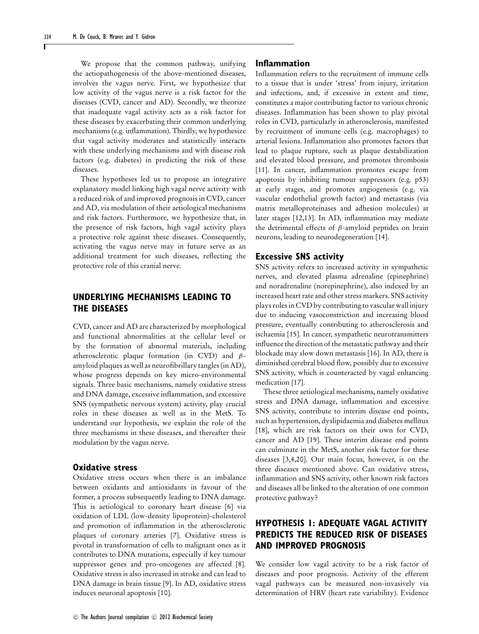We propose that the common pathway, unifying the aetiopathogenesis of the above-mentioned diseases, involves the vagus nerve. First, we hypothesize that low activity of the vagus nerve is a risk factor for the diseases (CVD, cancer and AD). Secondly, we theorize that inadequate vagal activity acts as a risk factor for these diseases by exacerbating their common underlying mechanisms (e.g. inflammation). Thirdly, we hypothesize that vagal activity moderates and statistically interacts with these underlying mechanisms and with disease risk factors (e.g. diabetes) in predicting the risk of these diseases.

These hypotheses led us to propose an integrative explanatory model linking high vagal nerve activity with a reduced risk of and improved prognosis in CVD, cancer and AD, via modulation of their aetiological mechanisms and risk factors. Furthermore, we hypothesize that, in the presence of risk factors, high vagal activity plays a protective role against these diseases. Consequently, activating the vagus nerve may in future serve as an additional treatment for such diseases, reflecting the protective role of this cranial nerve.

## **UNDERLYING MECHANISMS LEADING TO THE DISEASES**

CVD, cancer and AD are characterized by morphological and functional abnormalities at the cellular level or by the formation of abnormal materials, including atherosclerotic plaque formation (in CVD) and  $\beta$ amyloid plaques as well as neurofibrillary tangles (in AD), whose progress depends on key micro-environmental signals. Three basic mechanisms, namely oxidative stress and DNA damage, excessive inflammation, and excessive SNS (sympathetic nervous system) activity, play crucial roles in these diseases as well as in the MetS. To understand our hypothesis, we explain the role of the three mechanisms in these diseases, and thereafter their modulation by the vagus nerve.

#### **Oxidative stress**

Oxidative stress occurs when there is an imbalance between oxidants and antioxidants in favour of the former, a process subsequently leading to DNA damage. This is aetiological to coronary heart disease [\[6\]](#page-4-4) via oxidation of LDL (low-density lipoprotein)-cholesterol and promotion of inflammation in the atherosclerotic plaques of coronary arteries [\[7\]](#page-4-5). Oxidative stress is pivotal in transformation of cells to malignant ones as it contributes to DNA mutations, especially if key tumour suppressor genes and pro-oncogenes are affected [\[8\]](#page-4-6). Oxidative stress is also increased in stroke and can lead to DNA damage in brain tissue [\[9\]](#page-4-7). In AD, oxidative stress induces neuronal apoptosis [\[10\]](#page-4-8).

#### **Inflammation**

Inflammation refers to the recruitment of immune cells to a tissue that is under 'stress' from injury, irritation and infections, and, if excessive in extent and time, constitutes a major contributing factor to various chronic diseases. Inflammation has been shown to play pivotal roles in CVD, particularly in atherosclerosis, manifested by recruitment of immune cells (e.g. macrophages) to arterial lesions. Inflammation also promotes factors that lead to plaque rupture, such as plaque destabilization and elevated blood pressure, and promotes thrombosis [\[11\]](#page-4-9). In cancer, inflammation promotes escape from apoptosis by inhibiting tumour suppressors (e.g. p53) at early stages, and promotes angiogenesis (e.g. via vascular endothelial growth factor) and metastasis (via matrix metalloproteinases and adhesion molecules) at later stages [\[12](#page-5-0)[,13\]](#page-5-1). In AD, inflammation may mediate the detrimental effects of  $\beta$ -amyloid peptides on brain neurons, leading to neurodegeneration [\[14\]](#page-5-2).

#### **Excessive SNS activity**

SNS activity refers to increased activity in sympathetic nerves, and elevated plasma adrenaline (epinephrine) and noradrenaline (norepinephrine), also indexed by an increased heart rate and other stress markers. SNS activity plays roles in CVD by contributing to vascular wall injury due to inducing vasoconstriction and increasing blood pressure, eventually contributing to atherosclerosis and ischaemia [\[15\]](#page-5-3). In cancer, sympathetic neurotransmitters influence the direction of the metastatic pathway and their blockade may slow down metastasis [\[16\]](#page-5-4). In AD, there is diminished cerebral blood flow, possibly due to excessive SNS activity, which is counteracted by vagal enhancing medication [\[17\]](#page-5-5).

These three aetiological mechanisms, namely oxidative stress and DNA damage, inflammation and excessive SNS activity, contribute to interim disease end points, such as hypertension, dyslipidaemia and diabetes mellitus [\[18\]](#page-5-6), which are risk factors on their own for CVD, cancer and AD [\[19\]](#page-5-7). These interim disease end points can culminate in the MetS, another risk factor for these diseases [\[3](#page-4-1)[,4](#page-4-2)[,20\]](#page-5-8). Our main focus, however, is on the three diseases mentioned above. Can oxidative stress, inflammation and SNS activity, other known risk factors and diseases all be linked to the alteration of one common protective pathway?

## **HYPOTHESIS 1: ADEQUATE VAGAL ACTIVITY PREDICTS THE REDUCED RISK OF DISEASES AND IMPROVED PROGNOSIS**

We consider low vagal activity to be a risk factor of diseases and poor prognosis. Activity of the efferent vagal pathways can be measured non-invasively via determination of HRV (heart rate variability). Evidence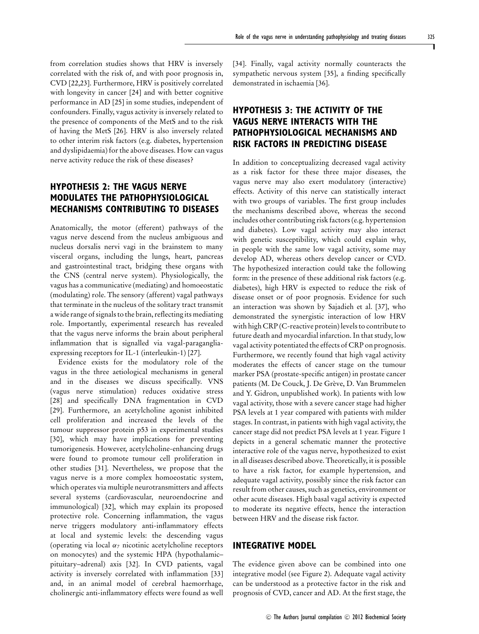from correlation studies shows that HRV is inversely correlated with the risk of, and with poor prognosis in, CVD [\[22,](#page-5-9)[23\]](#page-5-10). Furthermore, HRV is positively correlated with longevity in cancer [\[24\]](#page-5-11) and with better cognitive performance in AD [\[25\]](#page-5-12) in some studies, independent of confounders. Finally, vagus activity is inversely related to the presence of components of the MetS and to the risk of having the MetS [\[26\]](#page-5-13). HRV is also inversely related to other interim risk factors (e.g. diabetes, hypertension and dyslipidaemia) for the above diseases. How can vagus nerve activity reduce the risk of these diseases?

# **HYPOTHESIS 2: THE VAGUS NERVE MODULATES THE PATHOPHYSIOLOGICAL MECHANISMS CONTRIBUTING TO DISEASES**

Anatomically, the motor (efferent) pathways of the vagus nerve descend from the nucleus ambiguous and nucleus dorsalis nervi vagi in the brainstem to many visceral organs, including the lungs, heart, pancreas and gastrointestinal tract, bridging these organs with the CNS (central nerve system). Physiologically, the vagus has a communicative (mediating) and homoeostatic (modulating) role. The sensory (afferent) vagal pathways that terminate in the nucleus of the solitary tract transmit a wide range of signals to the brain, reflecting its mediating role. Importantly, experimental research has revealed that the vagus nerve informs the brain about peripheral inflammation that is signalled via vagal-paragangliaexpressing receptors for IL-1 (interleukin-1) [\[27\]](#page-5-14).

Evidence exists for the modulatory role of the vagus in the three aetiological mechanisms in general and in the diseases we discuss specifically. VNS (vagus nerve stimulation) reduces oxidative stress [\[28\]](#page-5-15) and specifically DNA fragmentation in CVD [\[29\]](#page-5-16). Furthermore, an acetylcholine agonist inhibited cell proliferation and increased the levels of the tumour suppressor protein p53 in experimental studies [\[30\]](#page-5-17), which may have implications for preventing tumorigenesis. However, acetylcholine-enhancing drugs were found to promote tumour cell proliferation in other studies [\[31\]](#page-5-18). Nevertheless, we propose that the vagus nerve is a more complex homoeostatic system, which operates via multiple neurotransmitters and affects several systems (cardiovascular, neuroendocrine and immunological) [\[32\]](#page-5-19), which may explain its proposed protective role. Concerning inflammation, the vagus nerve triggers modulatory anti-inflammatory effects at local and systemic levels: the descending vagus (operating via local  $\alpha_7$  nicotinic acetylcholine receptors on monocytes) and the systemic HPA (hypothalamic– pituitary–adrenal) axis [\[32\]](#page-5-19). In CVD patients, vagal activity is inversely correlated with inflammation [\[33\]](#page-5-20) and, in an animal model of cerebral haemorrhage, cholinergic anti-inflammatory effects were found as well [\[34\]](#page-5-21). Finally, vagal activity normally counteracts the sympathetic nervous system [\[35\]](#page-5-22), a finding specifically demonstrated in ischaemia [\[36\]](#page-5-23).

# **HYPOTHESIS 3: THE ACTIVITY OF THE VAGUS NERVE INTERACTS WITH THE PATHOPHYSIOLOGICAL MECHANISMS AND RISK FACTORS IN PREDICTING DISEASE**

In addition to conceptualizing decreased vagal activity as a risk factor for these three major diseases, the vagus nerve may also exert modulatory (interactive) effects. Activity of this nerve can statistically interact with two groups of variables. The first group includes the mechanisms described above, whereas the second includes other contributing risk factors (e.g. hypertension and diabetes). Low vagal activity may also interact with genetic susceptibility, which could explain why, in people with the same low vagal activity, some may develop AD, whereas others develop cancer or CVD. The hypothesized interaction could take the following form: in the presence of these additional risk factors (e.g. diabetes), high HRV is expected to reduce the risk of disease onset or of poor prognosis. Evidence for such an interaction was shown by Sajadieh et al. [\[37\]](#page-5-24), who demonstrated the synergistic interaction of low HRV with high CRP (C-reactive protein) levels to contribute to future death and myocardial infarction. In that study, low vagal activity potentiated the effects of CRP on prognosis. Furthermore, we recently found that high vagal activity moderates the effects of cancer stage on the tumour marker PSA (prostate-specific antigen) in prostate cancer patients (M. De Couck, J. De Grève, D. Van Brummelen and Y. Gidron, unpublished work). In patients with low vagal activity, those with a severe cancer stage had higher PSA levels at 1 year compared with patients with milder stages. In contrast, in patients with high vagal activity, the cancer stage did not predict PSA levels at 1 year. [Figure 1](#page-3-0) depicts in a general schematic manner the protective interactive role of the vagus nerve, hypothesized to exist in all diseases described above. Theoretically, it is possible to have a risk factor, for example hypertension, and adequate vagal activity, possibly since the risk factor can result from other causes, such as genetics, environment or other acute diseases. High basal vagal activity is expected to moderate its negative effects, hence the interaction between HRV and the disease risk factor.

#### **INTEGRATIVE MODEL**

The evidence given above can be combined into one integrative model (see [Figure 2\)](#page-3-1). Adequate vagal activity can be understood as a protective factor in the risk and prognosis of CVD, cancer and AD. At the first stage, the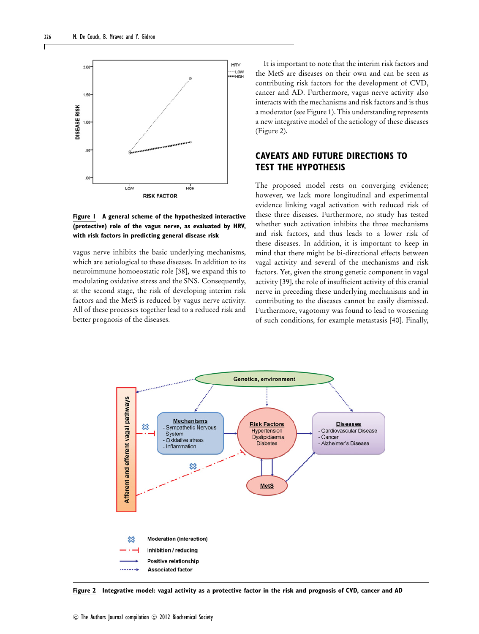<span id="page-3-0"></span>

**Figure 1 A general scheme of the hypothesized interactive (protective) role of the vagus nerve, as evaluated by HRV, with risk factors in predicting general disease risk**

vagus nerve inhibits the basic underlying mechanisms, which are aetiological to these diseases. In addition to its neuroimmune homoeostatic role [\[38\]](#page-5-25), we expand this to modulating oxidative stress and the SNS. Consequently, at the second stage, the risk of developing interim risk factors and the MetS is reduced by vagus nerve activity. All of these processes together lead to a reduced risk and better prognosis of the diseases.

It is important to note that the interim risk factors and the MetS are diseases on their own and can be seen as contributing risk factors for the development of CVD, cancer and AD. Furthermore, vagus nerve activity also interacts with the mechanisms and risk factors and is thus a moderator (see [Figure 1\)](#page-3-0). This understanding represents a new integrative model of the aetiology of these diseases [\(Figure 2\)](#page-3-1).

## **CAVEATS AND FUTURE DIRECTIONS TO TEST THE HYPOTHESIS**

The proposed model rests on converging evidence; however, we lack more longitudinal and experimental evidence linking vagal activation with reduced risk of these three diseases. Furthermore, no study has tested whether such activation inhibits the three mechanisms and risk factors, and thus leads to a lower risk of these diseases. In addition, it is important to keep in mind that there might be bi-directional effects between vagal activity and several of the mechanisms and risk factors. Yet, given the strong genetic component in vagal activity [\[39\]](#page-5-26), the role of insufficient activity of this cranial nerve in preceding these underlying mechanisms and in contributing to the diseases cannot be easily dismissed. Furthermore, vagotomy was found to lead to worsening of such conditions, for example metastasis [\[40\]](#page-5-27). Finally,

<span id="page-3-1"></span>

**Figure 2 Integrative model: vagal activity as a protective factor in the risk and prognosis of CVD, cancer and AD**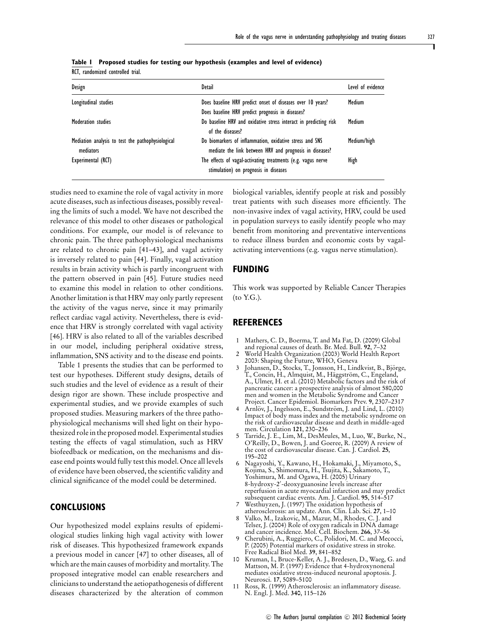| Design                                                         | Detail                                                                                                               | Level of evidence |
|----------------------------------------------------------------|----------------------------------------------------------------------------------------------------------------------|-------------------|
| Longitudinal studies<br>Moderation studies                     | Does baseline HRV predict onset of diseases over 10 years?                                                           | <b>Medium</b>     |
|                                                                | Does baseline HRV predict prognosis in diseases?<br>Do baseline HRV and oxidative stress interact in predicting risk | Medium            |
|                                                                | of the diseases?                                                                                                     |                   |
| Mediation analysis to test the pathophysiological<br>mediators | Do biomarkers of inflammation, oxidative stress and SNS<br>mediate the link between HRV and prognosis in diseases?   | Medium/high       |
| Experimental (RCT)                                             | The effects of vagal-activating treatments (e.g. vagus nerve<br>stimulation) on prognosis in diseases                | High              |

<span id="page-4-10"></span>**Table 1 Proposed studies for testing our hypothesis (examples and level of evidence)** RCT, randomized controlled trial.

studies need to examine the role of vagal activity in more acute diseases, such as infectious diseases, possibly revealing the limits of such a model. We have not described the relevance of this model to other diseases or pathological conditions. For example, our model is of relevance to chronic pain. The three pathophysiological mechanisms are related to chronic pain [\[41–](#page-5-28)[43\]](#page-5-29), and vagal activity is inversely related to pain [\[44\]](#page-5-30). Finally, vagal activation results in brain activity which is partly incongruent with the pattern observed in pain [\[45\]](#page-5-31). Future studies need to examine this model in relation to other conditions. Another limitation is that HRV may only partly represent the activity of the vagus nerve, since it may primarily reflect cardiac vagal activity. Nevertheless, there is evidence that HRV is strongly correlated with vagal activity [\[46\]](#page-5-32). HRV is also related to all of the variables described in our model, including peripheral oxidative stress, inflammation, SNS activity and to the disease end points.

[Table 1](#page-4-10) presents the studies that can be performed to test our hypotheses. Different study designs, details of such studies and the level of evidence as a result of their design rigor are shown. These include prospective and experimental studies, and we provide examples of such proposed studies. Measuring markers of the three pathophysiological mechanisms will shed light on their hypothesized role in the proposed model. Experimental studies testing the effects of vagal stimulation, such as HRV biofeedback or medication, on the mechanisms and disease end points would fully test this model. Once all levels of evidence have been observed, the scientific validity and clinical significance of the model could be determined.

### **CONCLUSIONS**

Our hypothesized model explains results of epidemiological studies linking high vagal activity with lower risk of diseases. This hypothesized framework expands a previous model in cancer [\[47\]](#page-5-33) to other diseases, all of which are the main causes of morbidity and mortality. The proposed integrative model can enable researchers and clinicians to understand the aetiopathogenesis of different diseases characterized by the alteration of common biological variables, identify people at risk and possibly treat patients with such diseases more efficiently. The non-invasive index of vagal activity, HRV, could be used in population surveys to easily identify people who may benefit from monitoring and preventative interventions to reduce illness burden and economic costs by vagalactivating interventions (e.g. vagus nerve stimulation).

#### **FUNDING**

This work was supported by Reliable Cancer Therapies (to Y.G.).

### **REFERENCES**

- <span id="page-4-0"></span>1 Mathers, C. D., Boerma, T. and Ma Fat, D. (2009) Global and regional causes of death. Br. Med. Bull. **92**, 7–32
- 2 World Health Organization (2003) World Health Report 2003: Shaping the Future, WHO, Geneva
- <span id="page-4-1"></span>3 Johansen, D., Stocks, T., Jonsson, H., Lindkvist, B., Bjorge, ¨ T., Concin, H., Almquist, M., Häggström, C., Engeland, A., Ulmer, H. et al. (2010) Metabolic factors and the risk of pancreatic cancer: a prospective analysis of almost 580,000 men and women in the Metabolic Syndrome and Cancer Project. Cancer Epidemiol. Biomarkers Prev. **9**, 2307–2317
- <span id="page-4-2"></span>4 Arnlöv, J., Ingelsson, E., Sundström, J. and Lind, L. (2010) Impact of body mass index and the metabolic syndrome on the risk of cardiovascular disease and death in middle-aged men. Circulation **121**, 230–236
- <span id="page-4-3"></span>5 Tarride, J. E., Lim, M., DesMeules, M., Luo, W., Burke, N., O'Reilly, D., Bowen, J. and Goeree, R. (2009) A review of the cost of cardiovascular disease. Can. J. Cardiol. **25**, 195–202
- <span id="page-4-4"></span>6 Nagayoshi, Y., Kawano, H., Hokamaki, J., Miyamoto, S., Kojima, S., Shimomura, H., Tsujita, K., Sakamoto, T., Yoshimura, M. and Ogawa, H. (2005) Urinary 8-hydroxy-2 -deoxyguanosine levels increase after reperfusion in acute myocardial infarction and may predict subsequent cardiac events. Am. J. Cardiol. **95**, 514–517
- <span id="page-4-5"></span>7 Westhuyzen, J. (1997) The oxidation hypothesis of atherosclerosis: an update. Ann. Clin. Lab. Sci. **27**, 1–10
- <span id="page-4-6"></span>Valko, M., Izakovic, M., Mazur, M., Rhodes, C. J. and Telser, J. (2004) Role of oxygen radicals in DNA damage and cancer incidence. Mol. Cell. Biochem. **266**, 37–56
- <span id="page-4-7"></span>9 Cherubini, A., Ruggiero, C., Polidori, M. C. and Mecocci, P. (2005) Potential markers of oxidative stress in stroke. Free Radical Biol Med. **39**, 841–852
- <span id="page-4-8"></span>10 Kruman, I., Bruce-Keller, A. J., Bredesen, D., Waeg, G. and Mattson, M. P. (1997) Evidence that 4-hydroxynonenal mediates oxidative stress-induced neuronal apoptosis. J. Neurosci. **17**, 5089–5100
- <span id="page-4-9"></span>11 Ross, R. (1999) Atherosclerosis: an inflammatory disease. N. Engl. J. Med. **340**, 115–126